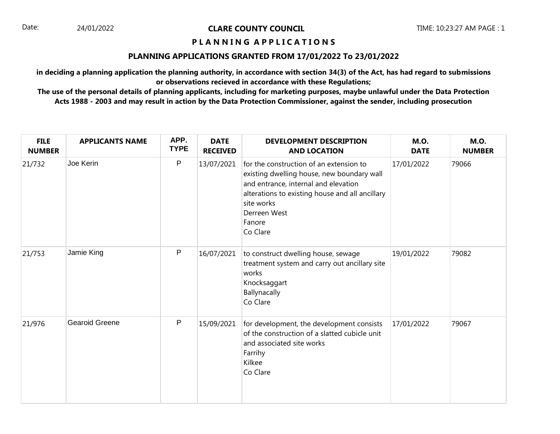## **P L A N N I N G A P P L I C A T I O N S**

## **PLANNING APPLICATIONS GRANTED FROM 17/01/2022 To 23/01/2022**

**in deciding a planning application the planning authority, in accordance with section 34(3) of the Act, has had regard to submissions or observations recieved in accordance with these Regulations;**

| <b>FILE</b><br><b>NUMBER</b> | <b>APPLICANTS NAME</b> | APP.<br><b>TYPE</b> | <b>DATE</b><br><b>RECEIVED</b> | <b>DEVELOPMENT DESCRIPTION</b><br><b>AND LOCATION</b>                                                                                                                                                                                | <b>M.O.</b><br><b>DATE</b> | <b>M.O.</b><br><b>NUMBER</b> |
|------------------------------|------------------------|---------------------|--------------------------------|--------------------------------------------------------------------------------------------------------------------------------------------------------------------------------------------------------------------------------------|----------------------------|------------------------------|
| 21/732                       | Joe Kerin              | $\mathsf{P}$        | 13/07/2021                     | for the construction of an extension to<br>existing dwelling house, new boundary wall<br>and entrance, internal and elevation<br>alterations to existing house and all ancillary<br>site works<br>Derreen West<br>Fanore<br>Co Clare | 17/01/2022                 | 79066                        |
| 21/753                       | Jamie King             | $\mathsf{P}$        | 16/07/2021                     | to construct dwelling house, sewage<br>treatment system and carry out ancillary site<br>works<br>Knocksaggart<br>Ballynacally<br>Co Clare                                                                                            | 19/01/2022                 | 79082                        |
| 21/976                       | <b>Gearoid Greene</b>  | $\mathsf{P}$        | 15/09/2021                     | for development, the development consists<br>of the construction of a slatted cubicle unit<br>and associated site works<br>Farrihy<br>Kilkee<br>Co Clare                                                                             | 17/01/2022                 | 79067                        |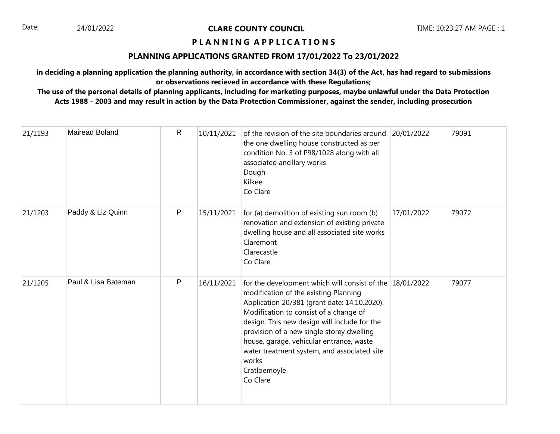## **P L A N N I N G A P P L I C A T I O N S**

## **PLANNING APPLICATIONS GRANTED FROM 17/01/2022 To 23/01/2022**

**in deciding a planning application the planning authority, in accordance with section 34(3) of the Act, has had regard to submissions or observations recieved in accordance with these Regulations;**

| 21/1193 | <b>Mairead Boland</b> | R | 10/11/2021 | of the revision of the site boundaries around<br>the one dwelling house constructed as per<br>condition No. 3 of P98/1028 along with all<br>associated ancillary works<br>Dough<br>Kilkee<br>Co Clare                                                                                                                                                                                                                    | 20/01/2022 | 79091 |
|---------|-----------------------|---|------------|--------------------------------------------------------------------------------------------------------------------------------------------------------------------------------------------------------------------------------------------------------------------------------------------------------------------------------------------------------------------------------------------------------------------------|------------|-------|
| 21/1203 | Paddy & Liz Quinn     | P | 15/11/2021 | for (a) demolition of existing sun room (b)<br>renovation and extension of existing private<br>dwelling house and all associated site works<br>Claremont<br>Clarecastle<br>Co Clare                                                                                                                                                                                                                                      | 17/01/2022 | 79072 |
| 21/1205 | Paul & Lisa Bateman   | P | 16/11/2021 | for the development which will consist of the 18/01/2022<br>modification of the existing Planning<br>Application 20/381 (grant date: 14.10.2020).<br>Modification to consist of a change of<br>design. This new design will include for the<br>provision of a new single storey dwelling<br>house, garage, vehicular entrance, waste<br>water treatment system, and associated site<br>works<br>Cratloemoyle<br>Co Clare |            | 79077 |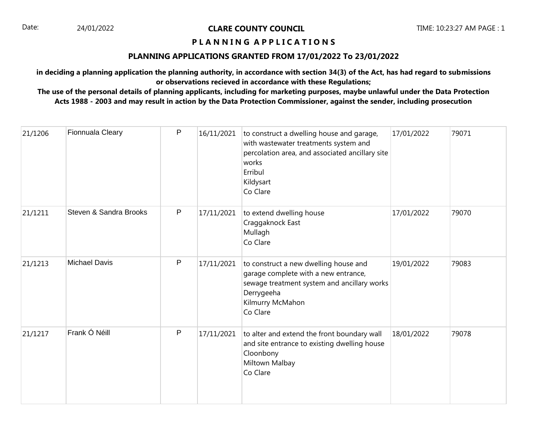## **P L A N N I N G A P P L I C A T I O N S**

## **PLANNING APPLICATIONS GRANTED FROM 17/01/2022 To 23/01/2022**

**in deciding a planning application the planning authority, in accordance with section 34(3) of the Act, has had regard to submissions or observations recieved in accordance with these Regulations;**

| 21/1206 | Fionnuala Cleary       | P         | 16/11/2021 | to construct a dwelling house and garage,<br>with wastewater treatments system and<br>percolation area, and associated ancillary site<br>works<br>Erribul<br>Kildysart<br>Co Clare | 17/01/2022 | 79071 |
|---------|------------------------|-----------|------------|------------------------------------------------------------------------------------------------------------------------------------------------------------------------------------|------------|-------|
| 21/1211 | Steven & Sandra Brooks | P         | 17/11/2021 | to extend dwelling house<br>Craggaknock East<br>Mullagh<br>Co Clare                                                                                                                | 17/01/2022 | 79070 |
| 21/1213 | <b>Michael Davis</b>   | ${\sf P}$ | 17/11/2021 | to construct a new dwelling house and<br>garage complete with a new entrance,<br>sewage treatment system and ancillary works<br>Derrygeeha<br>Kilmurry McMahon<br>Co Clare         | 19/01/2022 | 79083 |
| 21/1217 | Frank Ó Néill          | P         | 17/11/2021 | to alter and extend the front boundary wall<br>and site entrance to existing dwelling house<br>Cloonbony<br>Miltown Malbay<br>Co Clare                                             | 18/01/2022 | 79078 |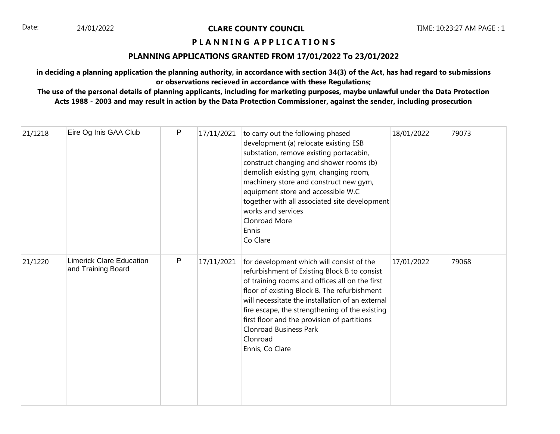## **P L A N N I N G A P P L I C A T I O N S**

## **PLANNING APPLICATIONS GRANTED FROM 17/01/2022 To 23/01/2022**

**in deciding a planning application the planning authority, in accordance with section 34(3) of the Act, has had regard to submissions or observations recieved in accordance with these Regulations;**

| 21/1218 | Eire Og Inis GAA Club                                 | P            | 17/11/2021 | to carry out the following phased<br>development (a) relocate existing ESB<br>substation, remove existing portacabin,<br>construct changing and shower rooms (b)<br>demolish existing gym, changing room,<br>machinery store and construct new gym,<br>equipment store and accessible W.C<br>together with all associated site development<br>works and services<br>Clonroad More<br>Ennis<br>Co Clare           | 18/01/2022 | 79073 |
|---------|-------------------------------------------------------|--------------|------------|------------------------------------------------------------------------------------------------------------------------------------------------------------------------------------------------------------------------------------------------------------------------------------------------------------------------------------------------------------------------------------------------------------------|------------|-------|
| 21/1220 | <b>Limerick Clare Education</b><br>and Training Board | $\mathsf{P}$ | 17/11/2021 | for development which will consist of the<br>refurbishment of Existing Block B to consist<br>of training rooms and offices all on the first<br>floor of existing Block B. The refurbishment<br>will necessitate the installation of an external<br>fire escape, the strengthening of the existing<br>first floor and the provision of partitions<br><b>Clonroad Business Park</b><br>Clonroad<br>Ennis, Co Clare | 17/01/2022 | 79068 |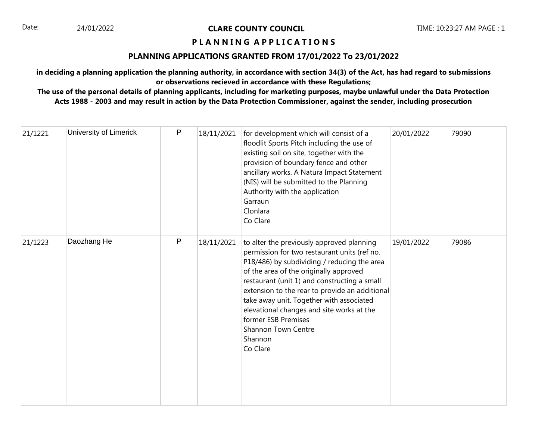## **P L A N N I N G A P P L I C A T I O N S**

## **PLANNING APPLICATIONS GRANTED FROM 17/01/2022 To 23/01/2022**

**in deciding a planning application the planning authority, in accordance with section 34(3) of the Act, has had regard to submissions or observations recieved in accordance with these Regulations;**

| 21/1221 | University of Limerick | P         | 18/11/2021 | for development which will consist of a<br>floodlit Sports Pitch including the use of<br>existing soil on site, together with the<br>provision of boundary fence and other<br>ancillary works. A Natura Impact Statement<br>(NIS) will be submitted to the Planning<br>Authority with the application<br>Garraun<br>Clonlara<br>Co Clare                                                                                                           | 20/01/2022 | 79090 |
|---------|------------------------|-----------|------------|----------------------------------------------------------------------------------------------------------------------------------------------------------------------------------------------------------------------------------------------------------------------------------------------------------------------------------------------------------------------------------------------------------------------------------------------------|------------|-------|
| 21/1223 | Daozhang He            | ${\sf P}$ | 18/11/2021 | to alter the previously approved planning<br>permission for two restaurant units (ref no.<br>P18/486) by subdividing / reducing the area<br>of the area of the originally approved<br>restaurant (unit 1) and constructing a small<br>extension to the rear to provide an additional<br>take away unit. Together with associated<br>elevational changes and site works at the<br>former ESB Premises<br>Shannon Town Centre<br>Shannon<br>Co Clare | 19/01/2022 | 79086 |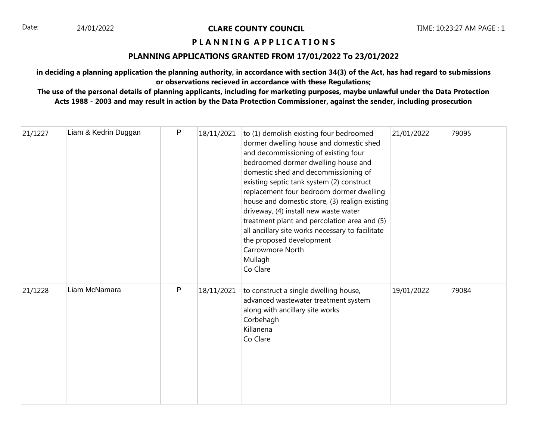## **P L A N N I N G A P P L I C A T I O N S**

## **PLANNING APPLICATIONS GRANTED FROM 17/01/2022 To 23/01/2022**

**in deciding a planning application the planning authority, in accordance with section 34(3) of the Act, has had regard to submissions or observations recieved in accordance with these Regulations;**

| 21/1227 | Liam & Kedrin Duggan | P | 18/11/2021 | to (1) demolish existing four bedroomed<br>dormer dwelling house and domestic shed<br>and decommissioning of existing four<br>bedroomed dormer dwelling house and<br>domestic shed and decommissioning of<br>existing septic tank system (2) construct<br>replacement four bedroom dormer dwelling<br>house and domestic store, (3) realign existing<br>driveway, (4) install new waste water<br>treatment plant and percolation area and (5)<br>all ancillary site works necessary to facilitate<br>the proposed development<br>Carrowmore North<br>Mullagh<br>Co Clare | 21/01/2022 | 79095 |
|---------|----------------------|---|------------|--------------------------------------------------------------------------------------------------------------------------------------------------------------------------------------------------------------------------------------------------------------------------------------------------------------------------------------------------------------------------------------------------------------------------------------------------------------------------------------------------------------------------------------------------------------------------|------------|-------|
| 21/1228 | Liam McNamara        | P | 18/11/2021 | to construct a single dwelling house,<br>advanced wastewater treatment system<br>along with ancillary site works<br>Corbehagh<br>Killanena<br>Co Clare                                                                                                                                                                                                                                                                                                                                                                                                                   | 19/01/2022 | 79084 |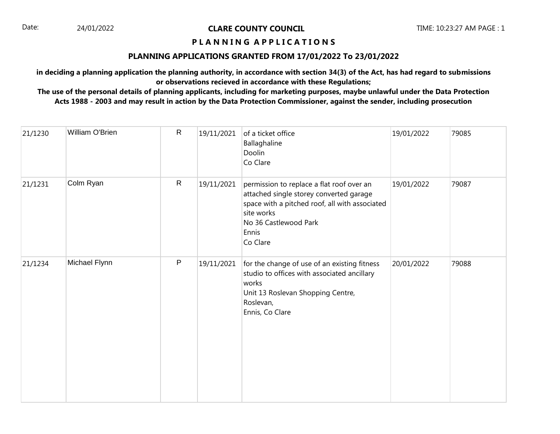## **P L A N N I N G A P P L I C A T I O N S**

## **PLANNING APPLICATIONS GRANTED FROM 17/01/2022 To 23/01/2022**

**in deciding a planning application the planning authority, in accordance with section 34(3) of the Act, has had regard to submissions or observations recieved in accordance with these Regulations;**

| 21/1230 | William O'Brien | $\mathsf{R}$ | 19/11/2021 | of a ticket office<br>Ballaghaline<br>Doolin<br>Co Clare                                                                                                                                           | 19/01/2022 | 79085 |
|---------|-----------------|--------------|------------|----------------------------------------------------------------------------------------------------------------------------------------------------------------------------------------------------|------------|-------|
| 21/1231 | Colm Ryan       | $\mathsf{R}$ | 19/11/2021 | permission to replace a flat roof over an<br>attached single storey converted garage<br>space with a pitched roof, all with associated<br>site works<br>No 36 Castlewood Park<br>Ennis<br>Co Clare | 19/01/2022 | 79087 |
| 21/1234 | Michael Flynn   | $\mathsf P$  | 19/11/2021 | for the change of use of an existing fitness<br>studio to offices with associated ancillary<br>works<br>Unit 13 Roslevan Shopping Centre,<br>Roslevan,<br>Ennis, Co Clare                          | 20/01/2022 | 79088 |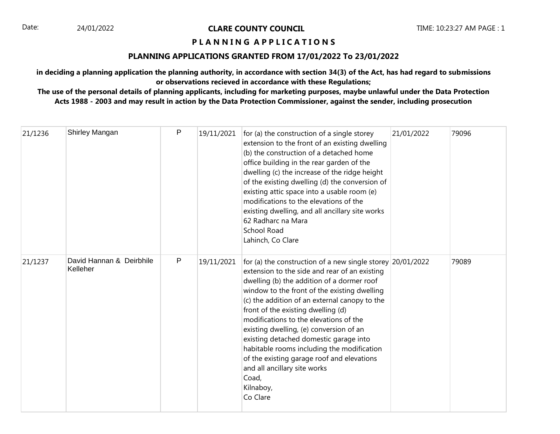## **P L A N N I N G A P P L I C A T I O N S**

## **PLANNING APPLICATIONS GRANTED FROM 17/01/2022 To 23/01/2022**

**in deciding a planning application the planning authority, in accordance with section 34(3) of the Act, has had regard to submissions or observations recieved in accordance with these Regulations;**

| 21/1236 | Shirley Mangan                       | $\mathsf{P}$ | 19/11/2021 | for (a) the construction of a single storey<br>extension to the front of an existing dwelling<br>(b) the construction of a detached home<br>office building in the rear garden of the<br>dwelling (c) the increase of the ridge height<br>of the existing dwelling (d) the conversion of<br>existing attic space into a usable room (e)<br>modifications to the elevations of the<br>existing dwelling, and all ancillary site works<br>62 Radharc na Mara<br><b>School Road</b><br>Lahinch, Co Clare                                                                                             | 21/01/2022 | 79096 |
|---------|--------------------------------------|--------------|------------|---------------------------------------------------------------------------------------------------------------------------------------------------------------------------------------------------------------------------------------------------------------------------------------------------------------------------------------------------------------------------------------------------------------------------------------------------------------------------------------------------------------------------------------------------------------------------------------------------|------------|-------|
| 21/1237 | David Hannan & Deirbhile<br>Kelleher | P            | 19/11/2021 | for (a) the construction of a new single storey $ 20/01/2022 $<br>extension to the side and rear of an existing<br>dwelling (b) the addition of a dormer roof<br>window to the front of the existing dwelling<br>(c) the addition of an external canopy to the<br>front of the existing dwelling (d)<br>modifications to the elevations of the<br>existing dwelling, (e) conversion of an<br>existing detached domestic garage into<br>habitable rooms including the modification<br>of the existing garage roof and elevations<br>and all ancillary site works<br>Coad,<br>Kilnaboy,<br>Co Clare |            | 79089 |